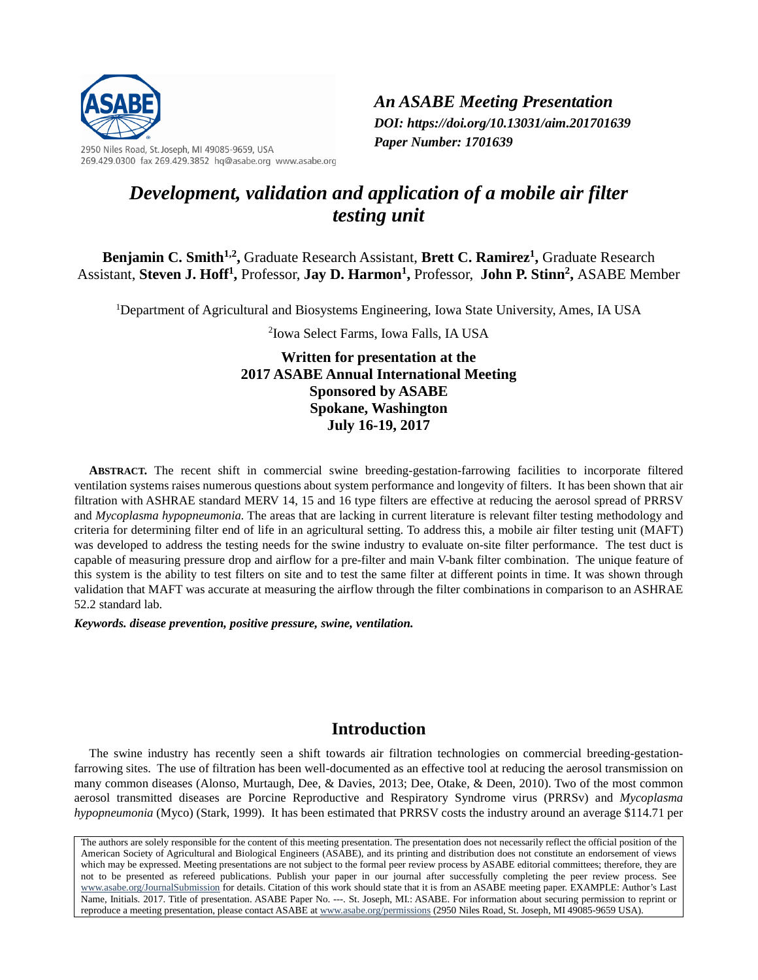

2950 Niles Road, St. Joseph, MI 49085-9659, USA 269.429.0300 fax 269.429.3852 hq@asabe.org www.asabe.org *An ASABE Meeting Presentation DOI: https://doi.org/10.13031/aim.201701639 Paper Number: 1701639*

# *Development, validation and application of a mobile air filter testing unit*

**Benjamin C. Smith<sup>1,2</sup>, Graduate Research Assistant, Brett C. Ramirez<sup>1</sup>, Graduate Research** Assistant, **Steven J. Hoff<sup>1</sup>,** Professor, **Jay D. Harmon<sup>1</sup>, Professor, John P. Stinn<sup>2</sup>, ASABE Member** 

<sup>1</sup>Department of Agricultural and Biosystems Engineering, Iowa State University, Ames, IA USA

2 Iowa Select Farms, Iowa Falls, IA USA

**Written for presentation at the 2017 ASABE Annual International Meeting Sponsored by ASABE Spokane, Washington July 16-19, 2017**

**ABSTRACT.** The recent shift in commercial swine breeding-gestation-farrowing facilities to incorporate filtered ventilation systems raises numerous questions about system performance and longevity of filters. It has been shown that air filtration with ASHRAE standard MERV 14, 15 and 16 type filters are effective at reducing the aerosol spread of PRRSV and *Mycoplasma hypopneumonia.* The areas that are lacking in current literature is relevant filter testing methodology and criteria for determining filter end of life in an agricultural setting. To address this, a mobile air filter testing unit (MAFT) was developed to address the testing needs for the swine industry to evaluate on-site filter performance. The test duct is capable of measuring pressure drop and airflow for a pre-filter and main V-bank filter combination. The unique feature of this system is the ability to test filters on site and to test the same filter at different points in time. It was shown through validation that MAFT was accurate at measuring the airflow through the filter combinations in comparison to an ASHRAE 52.2 standard lab.

*Keywords. disease prevention, positive pressure, swine, ventilation.*

## **Introduction**

The swine industry has recently seen a shift towards air filtration technologies on commercial breeding-gestationfarrowing sites. The use of filtration has been well-documented as an effective tool at reducing the aerosol transmission on many common diseases (Alonso, Murtaugh, Dee, & Davies, 2013; Dee, Otake, & Deen, 2010). Two of the most common aerosol transmitted diseases are Porcine Reproductive and Respiratory Syndrome virus (PRRSv) and *Mycoplasma hypopneumonia* (Myco) (Stark, 1999). It has been estimated that PRRSV costs the industry around an average \$114.71 per

The authors are solely responsible for the content of this meeting presentation. The presentation does not necessarily reflect the official position of the American Society of Agricultural and Biological Engineers (ASABE), and its printing and distribution does not constitute an endorsement of views which may be expressed. Meeting presentations are not subject to the formal peer review process by ASABE editorial committees; therefore, they are not to be presented as refereed publications. Publish your paper in our journal after successfully completing the peer review process. See [www.asabe.org/JournalSubmission](http://www.asabe.org/JournalSubmission) for details. Citation of this work should state that it is from an ASABE meeting paper. EXAMPLE: Author's Last Name, Initials. 2017. Title of presentation. ASABE Paper No. ---. St. Joseph, MI.: ASABE. For information about securing permission to reprint or reproduce a meeting presentation, please contact ASABE a[t www.asabe.org/permissions](http://www.asabe.org/permissions) (2950 Niles Road, St. Joseph, MI 49085-9659 USA).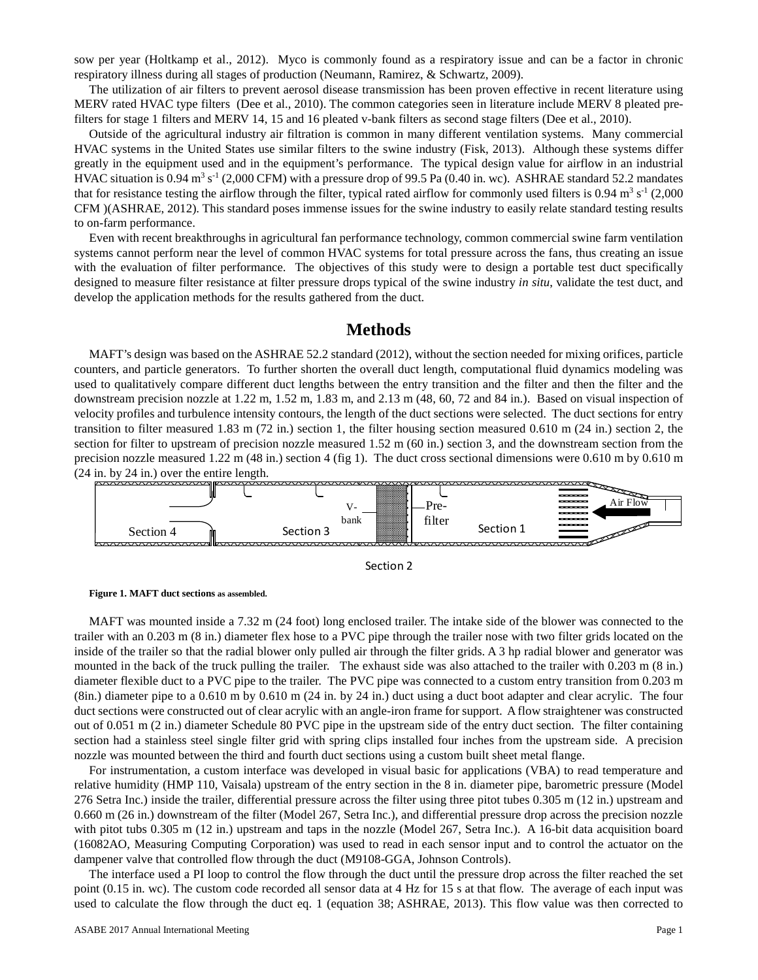sow per year (Holtkamp et al., 2012). Myco is commonly found as a respiratory issue and can be a factor in chronic respiratory illness during all stages of production (Neumann, Ramirez, & Schwartz, 2009).

The utilization of air filters to prevent aerosol disease transmission has been proven effective in recent literature using MERV rated HVAC type filters (Dee et al., 2010). The common categories seen in literature include MERV 8 pleated prefilters for stage 1 filters and MERV 14, 15 and 16 pleated v-bank filters as second stage filters (Dee et al., 2010).

Outside of the agricultural industry air filtration is common in many different ventilation systems. Many commercial HVAC systems in the United States use similar filters to the swine industry (Fisk, 2013). Although these systems differ greatly in the equipment used and in the equipment's performance. The typical design value for airflow in an industrial HVAC situation is  $0.94 \text{ m}^3$  s<sup>-1</sup> (2,000 CFM) with a pressure drop of 99.5 Pa (0.40 in. wc). ASHRAE standard 52.2 mandates that for resistance testing the airflow through the filter, typical rated airflow for commonly used filters is 0.94  $\text{m}^3$  s<sup>-1</sup> (2,000) CFM )(ASHRAE, 2012). This standard poses immense issues for the swine industry to easily relate standard testing results to on-farm performance.

Even with recent breakthroughs in agricultural fan performance technology, common commercial swine farm ventilation systems cannot perform near the level of common HVAC systems for total pressure across the fans, thus creating an issue with the evaluation of filter performance. The objectives of this study were to design a portable test duct specifically designed to measure filter resistance at filter pressure drops typical of the swine industry *in situ*, validate the test duct, and develop the application methods for the results gathered from the duct.

# **Methods**

MAFT's design was based on the ASHRAE 52.2 standard (2012), without the section needed for mixing orifices, particle counters, and particle generators. To further shorten the overall duct length, computational fluid dynamics modeling was used to qualitatively compare different duct lengths between the entry transition and the filter and then the filter and the downstream precision nozzle at 1.22 m, 1.52 m, 1.83 m, and 2.13 m (48, 60, 72 and 84 in.). Based on visual inspection of velocity profiles and turbulence intensity contours, the length of the duct sections were selected. The duct sections for entry transition to filter measured 1.83 m (72 in.) section 1, the filter housing section measured 0.610 m (24 in.) section 2, the section for filter to upstream of precision nozzle measured 1.52 m (60 in.) section 3, and the downstream section from the precision nozzle measured 1.22 m (48 in.) section 4 (fig 1). The duct cross sectional dimensions were 0.610 m by 0.610 m (24 in. by 24 in.) over the entire length.







MAFT was mounted inside a 7.32 m (24 foot) long enclosed trailer. The intake side of the blower was connected to the trailer with an 0.203 m (8 in.) diameter flex hose to a PVC pipe through the trailer nose with two filter grids located on the inside of the trailer so that the radial blower only pulled air through the filter grids. A 3 hp radial blower and generator was mounted in the back of the truck pulling the trailer. The exhaust side was also attached to the trailer with 0.203 m (8 in.) diameter flexible duct to a PVC pipe to the trailer. The PVC pipe was connected to a custom entry transition from 0.203 m (8in.) diameter pipe to a 0.610 m by 0.610 m (24 in. by 24 in.) duct using a duct boot adapter and clear acrylic. The four duct sections were constructed out of clear acrylic with an angle-iron frame for support. A flow straightener was constructed out of 0.051 m (2 in.) diameter Schedule 80 PVC pipe in the upstream side of the entry duct section. The filter containing section had a stainless steel single filter grid with spring clips installed four inches from the upstream side. A precision nozzle was mounted between the third and fourth duct sections using a custom built sheet metal flange.

For instrumentation, a custom interface was developed in visual basic for applications (VBA) to read temperature and relative humidity (HMP 110, Vaisala) upstream of the entry section in the 8 in. diameter pipe, barometric pressure (Model 276 Setra Inc.) inside the trailer, differential pressure across the filter using three pitot tubes 0.305 m (12 in.) upstream and 0.660 m (26 in.) downstream of the filter (Model 267, Setra Inc.), and differential pressure drop across the precision nozzle with pitot tubs 0.305 m (12 in.) upstream and taps in the nozzle (Model 267, Setra Inc.). A 16-bit data acquisition board (16082AO, Measuring Computing Corporation) was used to read in each sensor input and to control the actuator on the dampener valve that controlled flow through the duct (M9108-GGA, Johnson Controls).

The interface used a PI loop to control the flow through the duct until the pressure drop across the filter reached the set point (0.15 in. wc). The custom code recorded all sensor data at 4 Hz for 15 s at that flow. The average of each input was used to calculate the flow through the duct eq. 1 (equation 38; ASHRAE, 2013). This flow value was then corrected to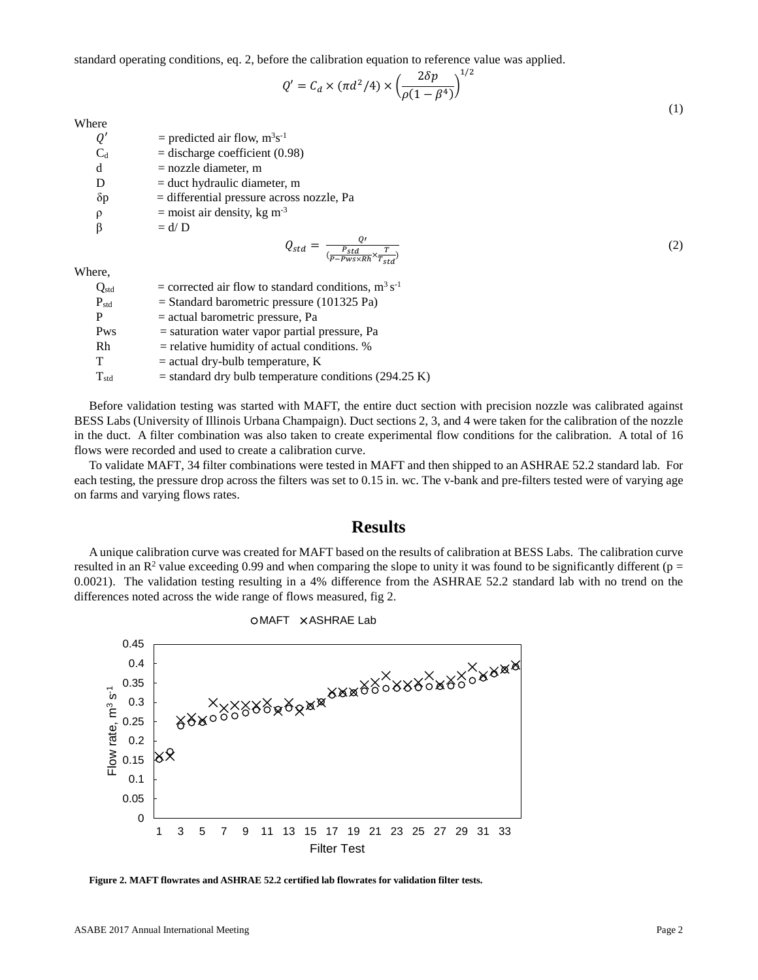standard operating conditions, eq. 2, before the calibration equation to reference value was applied.

$$
Q' = C_d \times (\pi d^2/4) \times \left(\frac{2\delta p}{\rho(1 - \beta^4)}\right)^{1/2}
$$
\n(1)

Where

| Q'         | = predicted air flow, $m^3s^{-1}$                                      |     |
|------------|------------------------------------------------------------------------|-----|
| $C_d$      | $=$ discharge coefficient (0.98)                                       |     |
| d          | $=$ nozzle diameter, m                                                 |     |
| D          | $=$ duct hydraulic diameter, m                                         |     |
| $\delta p$ | $=$ differential pressure across nozzle, Pa                            |     |
| $\rho$     | $=$ moist air density, kg m <sup>-3</sup>                              |     |
|            | $= d/D$                                                                |     |
|            | $Q_{std}$<br>$-\frac{\overline{P_{std}}}{\sqrt{1-\overline{Q_{std}}}}$ | (2) |
| Where,     |                                                                        |     |
| $Q_{std}$  | = corrected air flow to standard conditions, $m^3 s^{-1}$              |     |

W

| $Q_{std}$ | = corrected air flow to standard conditions, $m^3 s^{-1}$ |
|-----------|-----------------------------------------------------------|
| $P_{std}$ | $=$ Standard barometric pressure (101325 Pa)              |
| P         | $=$ actual barometric pressure, Pa                        |
| Pws       | $=$ saturation water vapor partial pressure, Pa           |
| Rh        | $=$ relative humidity of actual conditions. %             |
| т         | $=$ actual dry-bulb temperature, K                        |
| $T_{std}$ | $=$ standard dry bulb temperature conditions (294.25 K)   |

Before validation testing was started with MAFT, the entire duct section with precision nozzle was calibrated against BESS Labs (University of Illinois Urbana Champaign). Duct sections 2, 3, and 4 were taken for the calibration of the nozzle in the duct. A filter combination was also taken to create experimental flow conditions for the calibration. A total of 16 flows were recorded and used to create a calibration curve.

To validate MAFT, 34 filter combinations were tested in MAFT and then shipped to an ASHRAE 52.2 standard lab. For each testing, the pressure drop across the filters was set to 0.15 in. wc. The v-bank and pre-filters tested were of varying age on farms and varying flows rates.

#### **Results**

A unique calibration curve was created for MAFT based on the results of calibration at BESS Labs. The calibration curve resulted in an  $\mathbb{R}^2$  value exceeding 0.99 and when comparing the slope to unity it was found to be significantly different (p = 0.0021). The validation testing resulting in a 4% difference from the ASHRAE 52.2 standard lab with no trend on the differences noted across the wide range of flows measured, fig 2.



**Figure 2. MAFT flowrates and ASHRAE 52.2 certified lab flowrates for validation filter tests.**